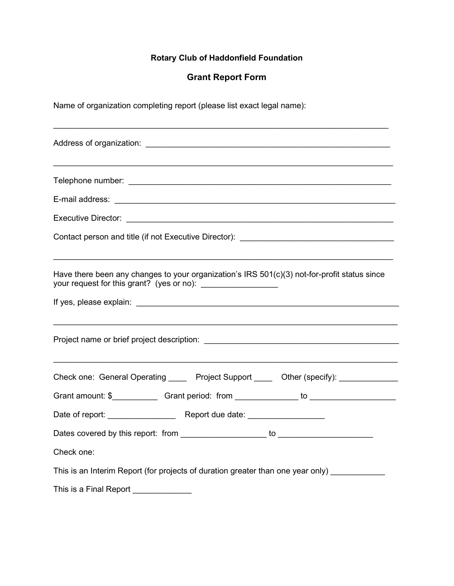# Rotary Club of Haddonfield Foundation

## Grant Report Form

Name of organization completing report (please list exact legal name):

| Contact person and title (if not Executive Director): __________________________                                                                                  |
|-------------------------------------------------------------------------------------------------------------------------------------------------------------------|
| Have there been any changes to your organization's IRS 501(c)(3) not-for-profit status since<br>your request for this grant? (yes or no): _______________________ |
|                                                                                                                                                                   |
|                                                                                                                                                                   |
| Check one: General Operating ______ Project Support ______ Other (specify): ____________                                                                          |
| Grant amount: \$______________Grant period: from _______________ to ______________                                                                                |
|                                                                                                                                                                   |
|                                                                                                                                                                   |
| Check one:                                                                                                                                                        |
| This is an Interim Report (for projects of duration greater than one year only)                                                                                   |
| This is a Final Report _____________                                                                                                                              |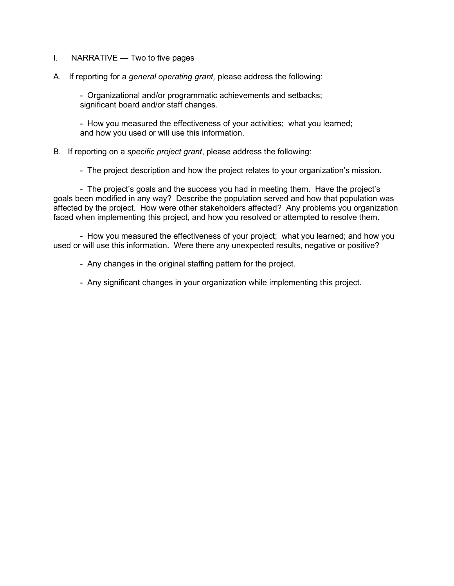- I. NARRATIVE Two to five pages
- A. If reporting for a general operating grant, please address the following:

 - Organizational and/or programmatic achievements and setbacks; significant board and/or staff changes.

 - How you measured the effectiveness of your activities; what you learned; and how you used or will use this information.

#### B. If reporting on a specific project grant, please address the following:

- The project description and how the project relates to your organization's mission.

 - The project's goals and the success you had in meeting them. Have the project's goals been modified in any way? Describe the population served and how that population was affected by the project. How were other stakeholders affected? Any problems you organization faced when implementing this project, and how you resolved or attempted to resolve them.

 - How you measured the effectiveness of your project; what you learned; and how you used or will use this information. Were there any unexpected results, negative or positive?

- Any changes in the original staffing pattern for the project.

- Any significant changes in your organization while implementing this project.